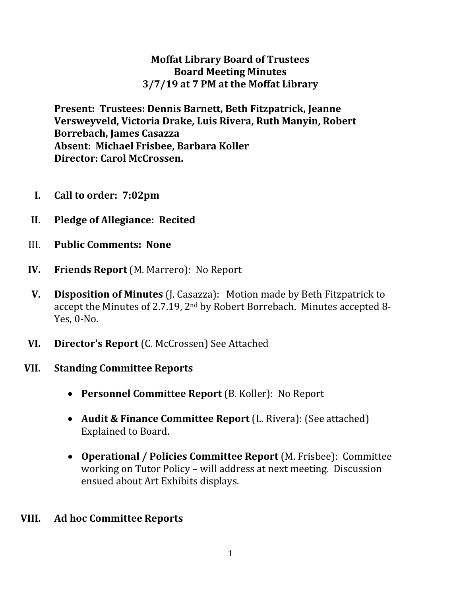#### **Moffat Library Board of Trustees Board Meeting Minutes 3/7/19 at 7 PM at the Moffat Library**

**Present: Trustees: Dennis Barnett, Beth Fitzpatrick, Jeanne Versweyveld, Victoria Drake, Luis Rivera, Ruth Manyin, Robert Borrebach, James Casazza Absent: Michael Frisbee, Barbara Koller Director: Carol McCrossen.** 

- **I. Call to order: 7:02pm**
- **II. Pledge of Allegiance: Recited**
- III. **Public Comments: None**
- **IV. Friends Report** (M. Marrero): No Report
- **V. Disposition of Minutes** (J. Casazza): Motion made by Beth Fitzpatrick to accept the Minutes of 2.7.19, 2nd by Robert Borrebach. Minutes accepted 8- Yes, 0-No.
- **VI. Director's Report** (C. McCrossen) See Attached
- **VII. Standing Committee Reports**
	- **Personnel Committee Report** (B. Koller): No Report
	- **Audit & Finance Committee Report** (L. Rivera): (See attached) Explained to Board.
	- **Operational / Policies Committee Report** (M. Frisbee): Committee working on Tutor Policy – will address at next meeting. Discussion ensued about Art Exhibits displays.
- **VIII. Ad hoc Committee Reports**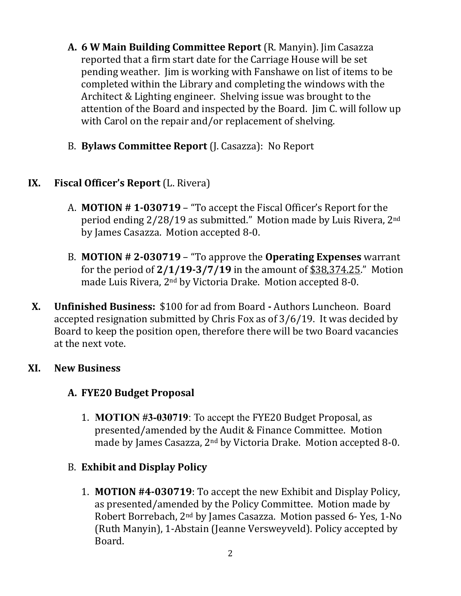- **A. 6 W Main Building Committee Report** (R. Manyin). Jim Casazza reported that a firm start date for the Carriage House will be set pending weather. Jim is working with Fanshawe on list of items to be completed within the Library and completing the windows with the Architect & Lighting engineer. Shelving issue was brought to the attention of the Board and inspected by the Board. Jim C. will follow up with Carol on the repair and/or replacement of shelving.
- B. **Bylaws Committee Report** (J. Casazza): No Report

## **IX. Fiscal Officer's Report** (L. Rivera)

- A. **MOTION # 1-030719** "To accept the Fiscal Officer's Report for the period ending 2/28/19 as submitted." Motion made by Luis Rivera, 2nd by James Casazza. Motion accepted 8-0.
- B. **MOTION # 2-030719** "To approve the **Operating Expenses** warrant for the period of **2/1/19-3/7/19** in the amount of \$38,374.25." Motion made Luis Rivera, 2nd by Victoria Drake. Motion accepted 8-0.
- **X. Unfinished Business:** \$100 for ad from Board **-** Authors Luncheon. Board accepted resignation submitted by Chris Fox as of 3/6/19. It was decided by Board to keep the position open, therefore there will be two Board vacancies at the next vote.

#### **XI. New Business**

#### **A. FYE20 Budget Proposal**

1. **MOTION #3-030719**: To accept the FYE20 Budget Proposal, as presented/amended by the Audit & Finance Committee. Motion made by James Casazza, 2nd by Victoria Drake. Motion accepted 8-0.

#### B. **Exhibit and Display Policy**

1. **MOTION #4-030719**: To accept the new Exhibit and Display Policy, as presented/amended by the Policy Committee. Motion made by Robert Borrebach, 2nd by James Casazza. Motion passed 6- Yes, 1-No (Ruth Manyin), 1-Abstain (Jeanne Versweyveld). Policy accepted by Board.